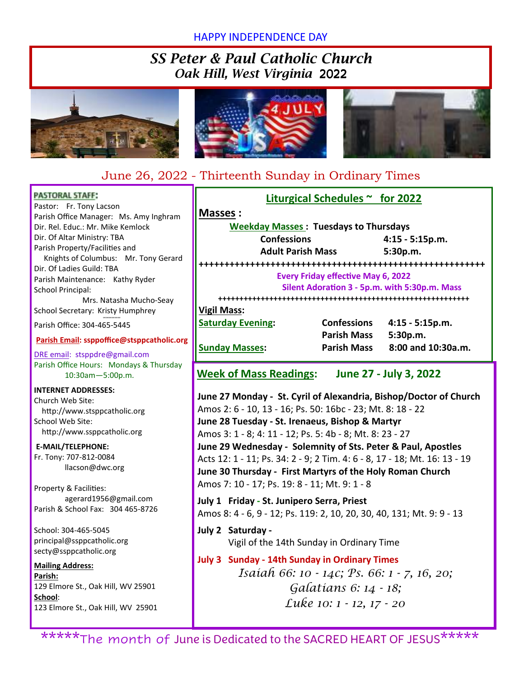### HAPPY INDEPENDENCE DAY

## *SS Peter & Paul Catholic Church Oak Hill, West Virginia* 2022







## June 26, 2022 - Thirteenth Sunday in Ordinary Times

| <b>PASTORAL STAFF:</b>                                           | Liturgical Schedules $\sim$ for 2022                                                                          |                    |                    |  |  |  |  |
|------------------------------------------------------------------|---------------------------------------------------------------------------------------------------------------|--------------------|--------------------|--|--|--|--|
| Pastor: Fr. Tony Lacson                                          | Masses:                                                                                                       |                    |                    |  |  |  |  |
| Parish Office Manager: Ms. Amy Inghram                           |                                                                                                               |                    |                    |  |  |  |  |
| Dir. Rel. Educ.: Mr. Mike Kemlock<br>Dir. Of Altar Ministry: TBA | <b>Weekday Masses: Tuesdays to Thursdays</b>                                                                  |                    |                    |  |  |  |  |
| Parish Property/Facilities and                                   | <b>Confessions</b>                                                                                            | 4:15 - 5:15p.m.    |                    |  |  |  |  |
| Knights of Columbus: Mr. Tony Gerard                             | <b>Adult Parish Mass</b><br>5:30p.m.                                                                          |                    |                    |  |  |  |  |
| Dir. Of Ladies Guild: TBA                                        |                                                                                                               |                    |                    |  |  |  |  |
| Parish Maintenance: Kathy Ryder                                  | <b>Every Friday effective May 6, 2022</b>                                                                     |                    |                    |  |  |  |  |
| <b>School Principal:</b>                                         | Silent Adoration 3 - 5p.m. with 5:30p.m. Mass                                                                 |                    |                    |  |  |  |  |
| Mrs. Natasha Mucho-Seay                                          |                                                                                                               |                    |                    |  |  |  |  |
| School Secretary: Kristy Humphrey                                | <b>Vigil Mass:</b>                                                                                            |                    |                    |  |  |  |  |
| Parish Office: 304-465-5445                                      | <b>Saturday Evening:</b>                                                                                      | <b>Confessions</b> | 4:15 - 5:15p.m.    |  |  |  |  |
| Parish Email: ssppoffice@stsppcatholic.org                       |                                                                                                               | <b>Parish Mass</b> | 5:30p.m.           |  |  |  |  |
| DRE email: stsppdre@gmail.com                                    | <b>Sunday Masses:</b>                                                                                         | <b>Parish Mass</b> | 8:00 and 10:30a.m. |  |  |  |  |
| Parish Office Hours: Mondays & Thursday                          |                                                                                                               |                    |                    |  |  |  |  |
| 10:30am-5:00p.m.                                                 | <b>Week of Mass Readings:</b><br>June 27 - July 3, 2022                                                       |                    |                    |  |  |  |  |
| <b>INTERNET ADDRESSES:</b>                                       |                                                                                                               |                    |                    |  |  |  |  |
| Church Web Site:                                                 | June 27 Monday - St. Cyril of Alexandria, Bishop/Doctor of Church                                             |                    |                    |  |  |  |  |
| http://www.stsppcatholic.org                                     | Amos 2: 6 - 10, 13 - 16; Ps. 50: 16bc - 23; Mt. 8: 18 - 22<br>June 28 Tuesday - St. Irenaeus, Bishop & Martyr |                    |                    |  |  |  |  |
| School Web Site:                                                 |                                                                                                               |                    |                    |  |  |  |  |
| http://www.ssppcatholic.org                                      | Amos 3: 1 - 8; 4: 11 - 12; Ps. 5: 4b - 8; Mt. 8: 23 - 27                                                      |                    |                    |  |  |  |  |
| E-MAIL/TELEPHONE:                                                | June 29 Wednesday - Solemnity of Sts. Peter & Paul, Apostles                                                  |                    |                    |  |  |  |  |
| Fr. Tony: 707-812-0084                                           | Acts 12: 1 - 11; Ps. 34: 2 - 9; 2 Tim. 4: 6 - 8, 17 - 18; Mt. 16: 13 - 19                                     |                    |                    |  |  |  |  |
| llacson@dwc.org                                                  | June 30 Thursday - First Martyrs of the Holy Roman Church                                                     |                    |                    |  |  |  |  |
|                                                                  | Amos 7: 10 - 17; Ps. 19: 8 - 11; Mt. 9: 1 - 8                                                                 |                    |                    |  |  |  |  |
| Property & Facilities:<br>agerard1956@gmail.com                  |                                                                                                               |                    |                    |  |  |  |  |
| Parish & School Fax: 304 465-8726                                | July 1 Friday - St. Junipero Serra, Priest                                                                    |                    |                    |  |  |  |  |
|                                                                  | Amos 8: 4 - 6, 9 - 12; Ps. 119: 2, 10, 20, 30, 40, 131; Mt. 9: 9 - 13                                         |                    |                    |  |  |  |  |
| School: 304-465-5045                                             | July 2 Saturday -                                                                                             |                    |                    |  |  |  |  |
| principal@ssppcatholic.org                                       | Vigil of the 14th Sunday in Ordinary Time                                                                     |                    |                    |  |  |  |  |
| secty@ssppcatholic.org                                           |                                                                                                               |                    |                    |  |  |  |  |
| <b>Mailing Address:</b>                                          | <b>July 3 Sunday - 14th Sunday in Ordinary Times</b>                                                          |                    |                    |  |  |  |  |
| Parish:                                                          | Isaíah 66: 10 - 14c; Ps. 66: 1 - 7, 16, 20;                                                                   |                    |                    |  |  |  |  |
| 129 Elmore St., Oak Hill, WV 25901                               | Galatians 6: 14 - 18;                                                                                         |                    |                    |  |  |  |  |
| School:                                                          | Luke 10: 1 - 12, 17 - 20                                                                                      |                    |                    |  |  |  |  |
| 123 Elmore St., Oak Hill, WV 25901                               |                                                                                                               |                    |                    |  |  |  |  |
|                                                                  |                                                                                                               |                    |                    |  |  |  |  |

\*\*\*\*\*The month of June is Dedicated to the SACRED HEART OF JESUS\*\*\*\*\*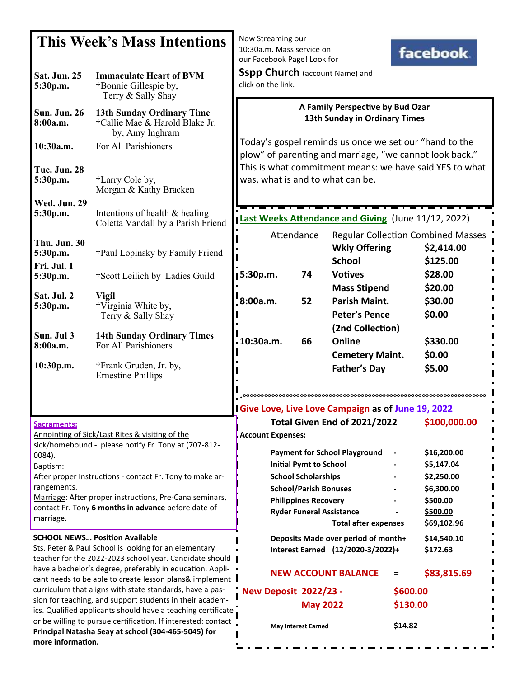| <b>This Week's Mass Intentions</b>                                                                                                                                                                                                                                                                                                                            |                                                                                                             | Now Streaming our<br>10:30a.m. Mass service on<br>facebook.                                                                                |                                                                                                                                                               |                                                                          |                     |                                                                                              |  |
|---------------------------------------------------------------------------------------------------------------------------------------------------------------------------------------------------------------------------------------------------------------------------------------------------------------------------------------------------------------|-------------------------------------------------------------------------------------------------------------|--------------------------------------------------------------------------------------------------------------------------------------------|---------------------------------------------------------------------------------------------------------------------------------------------------------------|--------------------------------------------------------------------------|---------------------|----------------------------------------------------------------------------------------------|--|
| <b>Sat. Jun. 25</b><br>5:30p.m.                                                                                                                                                                                                                                                                                                                               | <b>Immaculate Heart of BVM</b><br>†Bonnie Gillespie by,                                                     | our Facebook Page! Look for<br><b>Sspp Church</b> (account Name) and<br>click on the link.                                                 |                                                                                                                                                               |                                                                          |                     |                                                                                              |  |
| <b>Sun. Jun. 26</b><br>8:00a.m.                                                                                                                                                                                                                                                                                                                               | Terry & Sally Shay<br><b>13th Sunday Ordinary Time</b><br>†Callie Mae & Harold Blake Jr.<br>by, Amy Inghram | A Family Perspective by Bud Ozar<br>13th Sunday in Ordinary Times                                                                          |                                                                                                                                                               |                                                                          |                     |                                                                                              |  |
| 10:30a.m.                                                                                                                                                                                                                                                                                                                                                     | For All Parishioners                                                                                        | Today's gospel reminds us once we set our "hand to the<br>plow" of parenting and marriage, "we cannot look back."                          |                                                                                                                                                               |                                                                          |                     |                                                                                              |  |
| Tue. Jun. 28<br>5:30p.m.                                                                                                                                                                                                                                                                                                                                      | †Larry Cole by,<br>Morgan & Kathy Bracken                                                                   | This is what commitment means: we have said YES to what<br>was, what is and to what can be.                                                |                                                                                                                                                               |                                                                          |                     |                                                                                              |  |
| <b>Wed. Jun. 29</b><br>5:30p.m.                                                                                                                                                                                                                                                                                                                               | Intentions of health & healing<br>Coletta Vandall by a Parish Friend                                        | Last Weeks Attendance and Giving (June 11/12, 2022)                                                                                        |                                                                                                                                                               |                                                                          |                     |                                                                                              |  |
| Thu. Jun. 30<br>5:30p.m.<br>Fri. Jul. 1                                                                                                                                                                                                                                                                                                                       | †Paul Lopinsky by Family Friend                                                                             | Attendance                                                                                                                                 |                                                                                                                                                               | <b>Wkly Offering</b><br><b>School</b>                                    |                     | <b>Regular Collection Combined Masses</b><br>\$2,414.00<br>\$125.00                          |  |
| 5:30p.m.<br>Sat. Jul. 2<br>5:30p.m.                                                                                                                                                                                                                                                                                                                           | †Scott Leilich by Ladies Guild<br><b>Vigil</b><br>†Virginia White by,                                       | 5:30p.m.<br>8:00a.m.                                                                                                                       | 74<br>52                                                                                                                                                      | <b>Votives</b><br><b>Mass Stipend</b><br><b>Parish Maint.</b>            |                     | \$28.00<br>\$20.00<br>\$30.00                                                                |  |
| Sun. Jul 3<br>8:00a.m.                                                                                                                                                                                                                                                                                                                                        | Terry & Sally Shay<br><b>14th Sunday Ordinary Times</b><br>For All Parishioners                             | 10:30a.m.                                                                                                                                  | 66                                                                                                                                                            | <b>Peter's Pence</b><br>(2nd Collection)<br>Online                       |                     | \$0.00<br>\$330.00                                                                           |  |
| 10:30p.m.                                                                                                                                                                                                                                                                                                                                                     | †Frank Gruden, Jr. by,<br><b>Ernestine Phillips</b>                                                         |                                                                                                                                            |                                                                                                                                                               | <b>Cemetery Maint.</b><br><b>Father's Day</b>                            |                     | \$0.00<br>\$5.00                                                                             |  |
|                                                                                                                                                                                                                                                                                                                                                               |                                                                                                             | ∞∞∞∞∞∞∞∞∞∞∞∞∞∞∞∞∞∞∞∞∞∞∞∞∞∞∞∞∞∞∞∞∞∞∞<br>I Give Love, Live Love Campaign as of June 19, 2022<br>\$100,000.00<br>Total Given End of 2021/2022 |                                                                                                                                                               |                                                                          |                     |                                                                                              |  |
| <b>Sacraments:</b><br>Annointing of Sick/Last Rites & visiting of the<br>sick/homebound - please notify Fr. Tony at (707-812-<br>0084).<br>Baptism:<br>After proper Instructions - contact Fr. Tony to make ar-<br>rangements.<br>Marriage: After proper instructions, Pre-Cana seminars,<br>contact Fr. Tony 6 months in advance before date of<br>marriage. |                                                                                                             | <b>Account Expenses:</b>                                                                                                                   | <b>Initial Pymt to School</b><br><b>School Scholarships</b><br><b>School/Parish Bonuses</b><br><b>Philippines Recovery</b><br><b>Ryder Funeral Assistance</b> | <b>Payment for School Playground</b><br><b>Total after expenses</b>      |                     | \$16,200.00<br>\$5,147.04<br>\$2,250.00<br>\$6,300.00<br>\$500.00<br>\$500.00<br>\$69,102.96 |  |
| <b>SCHOOL NEWS Position Available</b><br>Sts. Peter & Paul School is looking for an elementary<br>teacher for the 2022-2023 school year. Candidate should                                                                                                                                                                                                     |                                                                                                             |                                                                                                                                            |                                                                                                                                                               | Deposits Made over period of month+<br>Interest Earned (12/2020-3/2022)+ |                     | \$14,540.10<br>\$172.63                                                                      |  |
| have a bachelor's degree, preferably in education. Appli-<br>cant needs to be able to create lesson plans& implement I<br>curriculum that aligns with state standards, have a pas-                                                                                                                                                                            |                                                                                                             | <b>NEW ACCOUNT BALANCE</b><br><b>New Deposit 2022/23 -</b>                                                                                 |                                                                                                                                                               | \$83,815.69<br>=<br>\$600.00                                             |                     |                                                                                              |  |
| sion for teaching, and support students in their academ-<br>ics. Qualified applicants should have a teaching certificate<br>or be willing to pursue certification. If interested: contact<br>Principal Natasha Seay at school (304-465-5045) for<br>more information.                                                                                         |                                                                                                             |                                                                                                                                            | <b>May 2022</b><br><b>May Interest Earned</b>                                                                                                                 |                                                                          | \$130.00<br>\$14.82 |                                                                                              |  |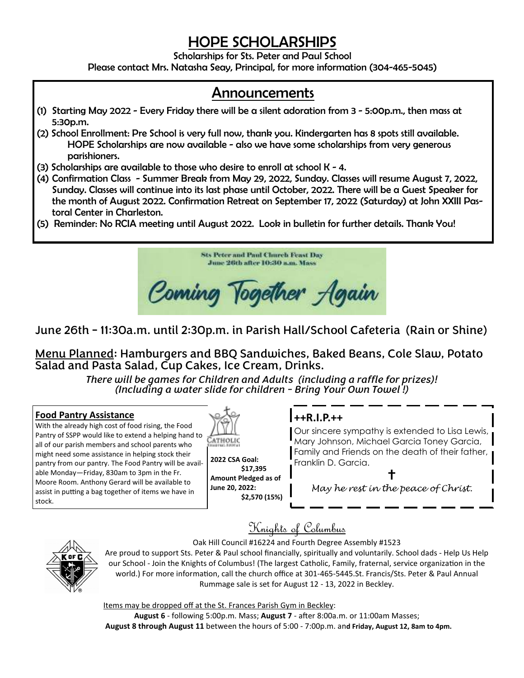# *HOPE SCHOLARSHIPS*

*Scholarships for Sts. Peter and Paul School* 

*Please contact Mrs. Natasha Seay, Principal, for more information (304-465-5045)* 

## *Announcements*

- *(1) Starting May 2022 Every Friday there will be a silent adoration from 3 5:00p.m., then mass at 5:30p.m.*
- *(2) School Enrollment: Pre School is very full now, thank you. Kindergarten has 8 spots still available. HOPE Scholarships are now available - also we have some scholarships from very generous parishioners.*
- *(3) Scholarships are available to those who desire to enroll at school K 4.*
- *(4) Confirmation Class Summer Break from May 29, 2022, Sunday. Classes will resume August 7, 2022, Sunday. Classes will continue into its last phase until October, 2022. There will be a Guest Speaker for the month of August 2022. Confirmation Retreat on September 17, 2022 (Saturday) at John XXIII Pastoral Center in Charleston.*
- *(5) Reminder: No RCIA meeting until August 2022. Look in bulletin for further details. Thank You!*



### June 26th - 11:30a.m. until 2:30p.m. in Parish Hall/School Cafeteria (Rain or Shine)

Menu Planned: Hamburgers and BBQ Sandwiches, Baked Beans, Cole Slaw, Potato Salad and Pasta Salad, Cup Cakes, Ice Cream, Drinks.

> *There will be games for Children and Adults (including a raffle for prizes)! (Including a water slide for children - Bring Your Own Towel !)*

#### **Food Pantry Assistance**

With the already high cost of food rising, the Food Pantry of SSPP would like to extend a helping hand to all of our parish members and school parents who might need some assistance in helping stock their pantry from our pantry. The Food Pantry will be available Monday—Friday, 830am to 3pm in the Fr. Moore Room. Anthony Gerard will be available to assist in putting a bag together of items we have in stock.



**2022 CSA Goal: \$17,395 Amount Pledged as of June 20, 2022: \$2,570 (15%)** 

### **++R.I.P.++**

Our sincere sympathy is extended to Lisa Lewis, Mary Johnson, Michael Garcia Toney Garcia, Family and Friends on the death of their father, Franklin D. Garcia.

 $\ddagger$ 

May he rest in the peace of Christ.

Knights of Columbus

Oak Hill Council #16224 and Fourth Degree Assembly #1523

Are proud to support Sts. Peter & Paul school financially, spiritually and voluntarily. School dads - Help Us Help our School - Join the Knights of Columbus! (The largest Catholic, Family, fraternal, service organization in the world.) For more information, call the church office at 301-465-5445.St. Francis/Sts. Peter & Paul Annual Rummage sale is set for August 12 - 13, 2022 in Beckley.

Items may be dropped off at the St. Frances Parish Gym in Beckley:

August 6 - following 5:00p.m. Mass; August 7 - after 8:00a.m. or 11:00am Masses;  **August 8 through August 11** between the hours of 5:00 - 7:00p.m. an**d Friday, August 12, 8am to 4pm.**